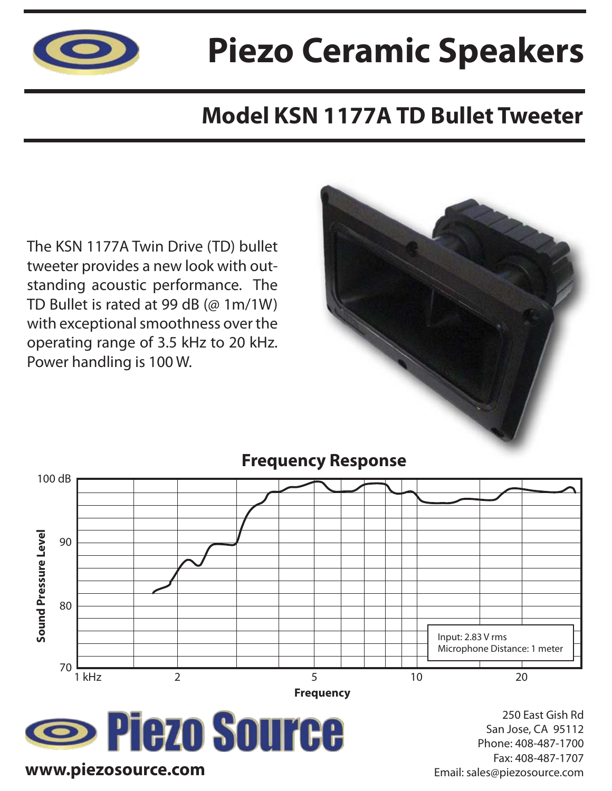

# **Piezo Ceramic Speakers**

### **Model KSN 1177A TD Bullet Tweeter**

The KSN 1177A Twin Drive (TD) bullet tweeter provides a new look with outstanding acoustic performance. The TD Bullet is rated at 99 dB ( $@ 1m/1W$ ) with exceptional smoothness over the operating range of 3.5 kHz to 20 kHz. Power handling is 100 W.





### **Frequency Response**

**Sezo Source** 

**www.piezosource.com**

250 East Gish Rd San Jose, CA 95112 Phone: 408-487-1700 Fax: 408-487-1707 Email: sales@piezosource.com